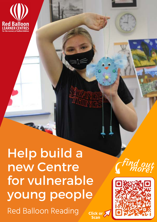

Red Balloon Reading Help build a new Centre for vulnerable young people **Click or Scan**

**Lega** 



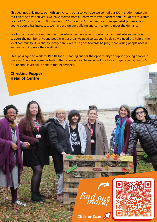This year not only marks our 10th anniversary but also we have welcomed our 100th student onto our roll. Over the past ten years we have moved from a Centre with two teachers and 6 students to a staff team of 20. Our student roll is now up to 24 students. As the need for more specialist provision for young people has increased, we have grown our building and curriculum to meet the demand.

We find ourselves in a moment in time where we have now outgrown our current site and in order to support the number of young people in our area, we need to expand. To do so we need the help of the local community. As a charity, every penny we raise goes towards helping more young people access learning and improve their wellbeing.

I feel privileged to work for Red Balloon - Reading and for the opportunity to support young people in our area. There is no greater feeling than knowing you have helped positively shape a young person's future and I invite you to share that experience.

**Christina Pepper Head of Centre**



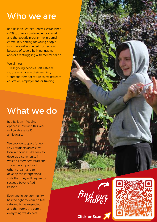# Who we are

Red Balloon Learner Centres, established in 1996, offer a combined educational and therapeutic programme in a small community setting for young people who have self-excluded from school because of severe bullying, trauma and/or are struggling with mental health.

We aim to:

- raise young peoples' self-esteem;
- close any gaps in their learning;
- prepare them for return to mainstream education, employment, or training.

# What we do

Red Balloon - Reading opened in 2011 and this year will celebrate its 10th anniversary.

We provide support for up to 24 students across five local authorities. We seek to develop a community in which all members (staff and students) support each other to learn and to develop the interpersonal skills that they will require to succeed beyond Red Balloon.

Everyone in our community has the right to learn, to feel safe and to be respected and that forms the core of everything we do here.



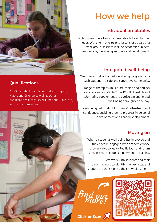

### **Qualifications**

At KS4, students can take GCSEs in English, Maths and Science as well as other qualifications (Entry Level, Functional Skills, etc.) across the curriculum.

# How we help

## Individual timetables

Each student has a bespoke timetable tailored to their needs. Working in one-to-one lessons or as part of a small group, sessions include academic subjects, creative arts, well-being and personal development.

## Integrated well-being

We offer an individualised well-being programme to each student in a safe and supportive community.

A range of therapies (music, art, canine and equine) are available, and Circle Time, PSHEE, Lifeskills and Mentoring supplement the curriculum and imbed well-being throughout the day.

Well-being helps rebuild students' self-esteem and confidence, enabling them to progress in personal development and academic attainment.

## Moving on

When a student's well-being has improved and they have re-engaged with academic work, they are able to leave Red Balloon and return to mainstream school, employment or training.

We work with students and their parents/carers to identify the next step and support the transition to their new placement.

**Click or Scan**

find out

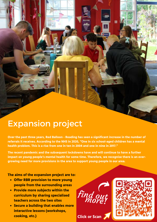## Expansion project

**Over the past three years, Red Balloon - Reading has seen a significant increase in the number of referrals it receives. According to the NHS in 2020, "One in six school-aged children has a mental health problem. This is a rise from one in ten in 2004 and one in nine in 2017."**

**The recent pandemic and the subsequent lockdowns have and will continue to have a further impact on young people's mental health for some time. Therefore, we recognise there is an evergrowing need for more provisions in the area to support young people in our area.**

**The aims of the expansion project are to:**

- **Offer RBR provision to more young people from the surrounding areas**
- **Provide more subjects within the curriculum by sharing specialised teachers across the two sites**
- **Secure a building that enables more interactive lessons (workshops, cooking, etc.)**



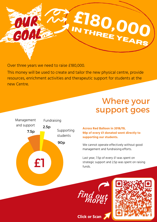

Over three years we need to raise £180,000.

This money will be used to create and tailor the new physical centre, provide resources, enrichment activities and therapeutic support for students at the new Centre.

# Where your support goes



#### **Across Red Balloon in 2018/19, 90p of every £1 donated went directly to supporting our students.**

We cannot operate effectively without good management and fundraising efforts.

Last year, 7.5p of every £1 was spent on strategic support and 2.5p was spent on raising funds.



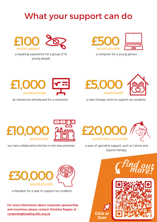# What your support can do



a kayaking experience for a group of 10 young people



a computer for a young person



an interactive whiteboard for a classroom



a new therapy room to support our students



a year of specialist support, such as Canine and Equine therapy.

**Scan**



a therapist for a year to support our students

**For more information about corporate sponsorship and incentives please contact Christina Pepper at [corporate@reading.rblc.org.uk](mailto:corporate@reading.rblc.org.uk) Click or**



our new collaborative kitchen in the new premises

£IO,